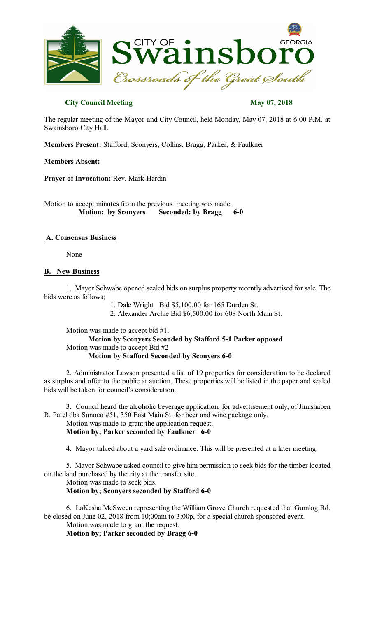

# **City Council Meeting May 07, 2018**

The regular meeting of the Mayor and City Council, held Monday, May 07, 2018 at 6:00 P.M. at Swainsboro City Hall.

**Members Present:** Stafford, Sconyers, Collins, Bragg, Parker, & Faulkner

# **Members Absent:**

**Prayer of Invocation:** Rev. Mark Hardin

Motion to accept minutes from the previous meeting was made. **Motion: by Sconyers Seconded: by Bragg 6-0** 

# **A. Consensus Business**

None

# **B. New Business**

1. Mayor Schwabe opened sealed bids on surplus property recently advertised for sale. The bids were as follows;

1. Dale Wright Bid \$5,100.00 for 165 Durden St.

2. Alexander Archie Bid \$6,500.00 for 608 North Main St.

Motion was made to accept bid #1.

**Motion by Sconyers Seconded by Stafford 5-1 Parker opposed** Motion was made to accept Bid #2 **Motion by Stafford Seconded by Sconyers 6-0**

2. Administrator Lawson presented a list of 19 properties for consideration to be declared as surplus and offer to the public at auction. These properties will be listed in the paper and sealed bids will be taken for council's consideration.

3. Council heard the alcoholic beverage application, for advertisement only, of Jimishaben R. Patel dba Sunoco #51, 350 East Main St. for beer and wine package only.

Motion was made to grant the application request.

**Motion by; Parker seconded by Faulkner 6-0**

4. Mayor talked about a yard sale ordinance. This will be presented at a later meeting.

5. Mayor Schwabe asked council to give him permission to seek bids for the timber located on the land purchased by the city at the transfer site.

Motion was made to seek bids.

**Motion by; Sconyers seconded by Stafford 6-0**

6. LaKesha McSween representing the William Grove Church requested that Gumlog Rd. be closed on June 02, 2018 from 10;00am to 3:00p, for a special church sponsored event.

Motion was made to grant the request.

**Motion by; Parker seconded by Bragg 6-0**